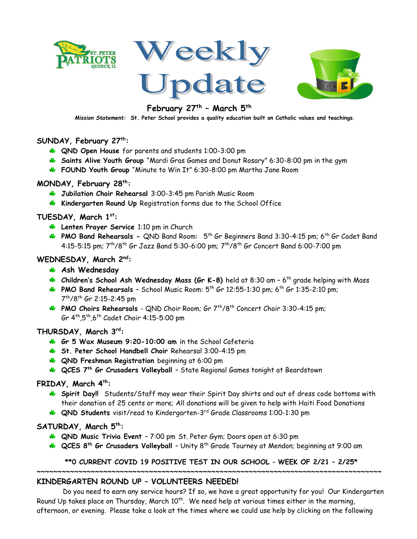







# **February 27th – March 5th**

*Mission Statement:* **St. Peter School provides a quality education built on Catholic [values and te](https://creativecommons.org/licenses/by-nc/3.0/)achings**.

## **SUNDAY, February 27th:**

- **QND Open House** for parents and students 1:00-3:00 pm
- **Saints Alive Youth Group** "Mardi Gras Games and Donut Rosary" 6:30-8:00 pm in the gym
- **FOUND Youth Group** "Minute to Win It" 6:30-8:00 pm Martha Jane Room

## **MONDAY, February 28th:**

- **Jubilation Choir Rehearsal** 3:00-3:45 pm Parish Music Room
- **Kindergarten Round Up** Registration forms due to the School Office

# **TUESDAY, March 1st:**

- **Lenten Prayer Service** 1:10 pm in Church
- **PMO Band Rehearsals -** QND Band Room: 5<sup>th</sup> Gr Beginners Band 3:30-4:15 pm; 6<sup>th</sup> Gr Cadet Band 4:15-5:15 pm;  $7^{th}/8^{th}$  Gr Jazz Band 5:30-6:00 pm;  $7^{th}/8^{th}$  Gr Concert Band 6:00-7:00 pm

# **WEDNESDAY, March 2nd:**

- **Ash Wednesday**
- **Children's School Ash Wednesday Mass (Gr K-8)** held at 8:30 am 6 th grade helping with Mass
- **PMO Band Rehearsals School Music Room: 5<sup>th</sup> Gr 12:55-1:30 pm; 6<sup>th</sup> Gr 1:35-2:10 pm;** 7 th/8th Gr 2:15-2:45 pm
- **PMO Choirs Rehearsals** QND Choir Room; Gr 7<sup>th</sup>/8<sup>th</sup> Concert Choir 3:30-4:15 pm; Gr 4th,5th,6th Cadet Choir 4:15-5:00 pm

## **THURSDAY, March 3rd:**

- **Gr 5 Wax Museum 9:20-10:00 am** in the School Cafeteria
- **St. Peter School Handbell Choir** Rehearsal 3:00-4:15 pm
- **QND Freshman Registration** beginning at 6:00 pm
- **QCES 7th Gr Crusaders Volleyball**  State Regional Games tonight at Beardstown

## **FRIDAY, March 4th:**

- **Spirit Day!!** Students/Staff may wear their Spirit Day shirts and out of dress code bottoms with their donation of 25 cents or more; All donations will be given to help with Haiti Food Donations
- **QND Students** visit/read to Kindergarten-3<sup>rd</sup> Grade Classrooms 1:00-1:30 pm

## **SATURDAY, March 5 th:**

- **QND Music Trivia Event** 7:00 pm St. Peter Gym; Doors open at 6:30 pm
- **CCES 8<sup>th</sup> Gr Crusaders Volleyball** Unity 8<sup>th</sup> Grade Tourney at Mendon; beginning at 9:00 am

## **\*\*0 CURRENT COVID 19 POSITIVE TEST IN OUR SCHOOL – WEEK OF 2/21 – 2/25\***

**~~~~~~~~~~~~~~~~~~~~~~~~~~~~~~~~~~~~~~~~~~~~~~~~~~~~~~~~~~~~~~~~~~~~~~~~~~~~~~~~~~~**

# **KINDERGARTEN ROUND UP – VOLUNTEERS NEEDED!**

Do you need to earn any service hours? If so, we have a great opportunity for you! Our Kindergarten Round Up takes place on Thursday, March  $10^{\text{th}}$ . We need help at various times either in the morning, afternoon, or evening. Please take a look at the times where we could use help by clicking on the following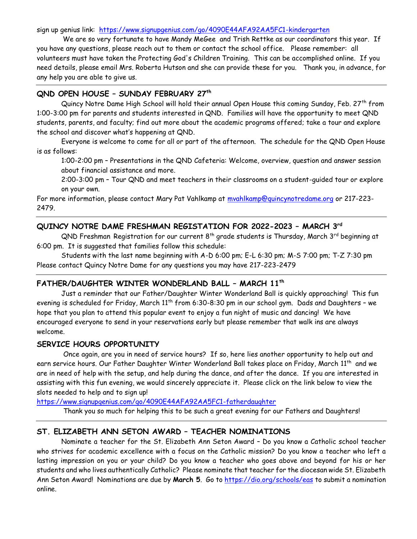sign up genius link: <https://www.signupgenius.com/go/4090E44AFA92AA5FC1-kindergarten>

We are so very fortunate to have Mandy MeGee and Trish Rettke as our coordinators this year. If you have any questions, please reach out to them or contact the school office.Please remember: all volunteers must have taken the Protecting God's Children Training. This can be accomplished online. If you need details, please email Mrs. Roberta Hutson and she can provide these for you.Thank you, in advance, for any help you are able to give us.

#### **QND OPEN HOUSE – SUNDAY FEBRUARY 27th**

Quincy Notre Dame High School will hold their annual Open House this coming Sunday, Feb. 27th from 1:00-3:00 pm for parents and students interested in QND. Families will have the opportunity to meet QND students, parents, and faculty; find out more about the academic programs offered; take a tour and explore the school and discover what's happening at QND.

Everyone is welcome to come for all or part of the afternoon. The schedule for the QND Open House is as follows:

1:00-2:00 pm – Presentations in the QND Cafeteria: Welcome, overview, question and answer session about financial assistance and more.

2:00-3:00 pm – Tour QND and meet teachers in their classrooms on a student-guided tour or explore on your own.

For more information, please contact Mary Pat Vahlkamp at [mvahlkamp@quincynotredame.org](mailto:mvahlkamp@quincynotredame.org) or 217-223-2479.

## **QUINCY NOTRE DAME FRESHMAN REGISTATION FOR 2022-2023 – MARCH 3 rd**

 $QND$  Freshman Registration for our current  $8<sup>th</sup>$  grade students is Thursday, March  $3<sup>rd</sup>$  beginning at 6:00 pm. It is suggested that families follow this schedule:

Students with the last name beginning with A-D 6:00 pm; E-L 6:30 pm; M-S 7:00 pm; T-Z 7:30 pm Please contact Quincy Notre Dame for any questions you may have 217-223-2479

## **FATHER/DAUGHTER WINTER WONDERLAND BALL – MARCH 11th**

Just a reminder that our Father/Daughter Winter Wonderland Ball is quickly approaching! This fun evening is scheduled for Friday, March 11<sup>th</sup> from 6:30-8:30 pm in our school gym. Dads and Daughters - we hope that you plan to attend this popular event to enjoy a fun night of music and dancing! We have encouraged everyone to send in your reservations early but please remember that walk ins are always welcome.

#### **SERVICE HOURS OPPORTUNITY**

 Once again, are you in need of service hours? If so, here lies another opportunity to help out and earn service hours. Our Father Daughter Winter Wonderland Ball takes place on Friday, March 11th and we are in need of help with the setup, and help during the dance, and after the dance. If you are interested in assisting with this fun evening, we would sincerely appreciate it. Please click on the link below to view the slots needed to help and to sign up!

<https://www.signupgenius.com/go/4090E44AFA92AA5FC1-fatherdaughter>

Thank you so much for helping this to be such a great evening for our Fathers and Daughters!

# **ST. ELIZABETH ANN SETON AWARD – TEACHER NOMINATIONS**

Nominate a teacher for the St. Elizabeth Ann Seton Award – Do you know a Catholic school teacher who strives for academic excellence with a focus on the Catholic mission? Do you know a teacher who left a lasting impression on you or your child? Do you know a teacher who goes above and beyond for his or her students and who lives authentically Catholic? Please nominate that teacher for the diocesan wide St. Elizabeth Ann Seton Award! Nominations are due by **March 5**. Go to <https://dio.org/schools/eas> to submit a nomination online.